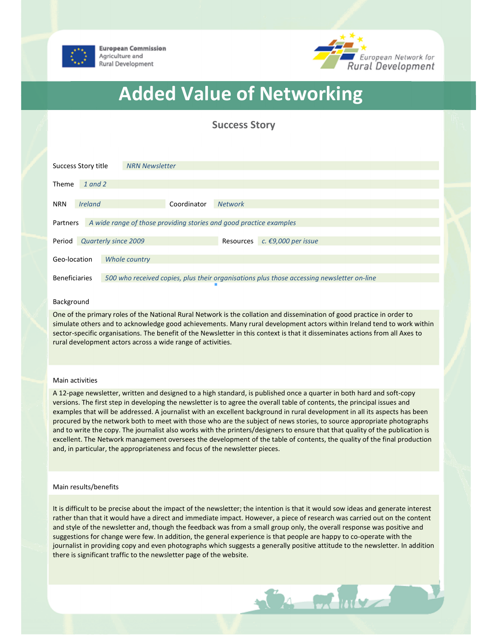



# Added Value of Networking

Success Story

|                                                                                | Success Story title | <b>NRN Newsletter</b>                                                                     |  |  |
|--------------------------------------------------------------------------------|---------------------|-------------------------------------------------------------------------------------------|--|--|
| Theme                                                                          | 1 and 2             |                                                                                           |  |  |
|                                                                                |                     |                                                                                           |  |  |
| <b>NRN</b>                                                                     | <b>Ireland</b>      | Coordinator<br><b>Network</b>                                                             |  |  |
| A wide range of those providing stories and good practice examples<br>Partners |                     |                                                                                           |  |  |
| Period                                                                         |                     | <b>Quarterly since 2009</b><br>c. €9,000 per issue<br><b>Resources</b>                    |  |  |
|                                                                                |                     |                                                                                           |  |  |
| Geo-location                                                                   |                     | Whole country                                                                             |  |  |
|                                                                                |                     |                                                                                           |  |  |
| <b>Beneficiaries</b>                                                           |                     | 500 who received copies, plus their organisations plus those accessing newsletter on-line |  |  |

## Background

One of the primary roles of the National Rural Network is the collation and dissemination of good practice in order to simulate others and to acknowledge good achievements. Many rural development actors within Ireland tend to work within sector-specific organisations. The benefit of the Newsletter in this context is that it disseminates actions from all Axes to rural development actors across a wide range of activities.

## Main activities

A 12-page newsletter, written and designed to a high standard, is published once a quarter in both hard and soft-copy versions. The first step in developing the newsletter is to agree the overall table of contents, the principal issues and examples that will be addressed. A journalist with an excellent background in rural development in all its aspects has been procured by the network both to meet with those who are the subject of news stories, to source appropriate photographs and to write the copy. The journalist also works with the printers/designers to ensure that that quality of the publication is excellent. The Network management oversees the development of the table of contents, the quality of the final production and, in particular, the appropriateness and focus of the newsletter pieces.

### Main results/benefits

It is difficult to be precise about the impact of the newsletter; the intention is that it would sow ideas and generate interest rather than that it would have a direct and immediate impact. However, a piece of research was carried out on the content and style of the newsletter and, though the feedback was from a small group only, the overall response was positive and suggestions for change were few. In addition, the general experience is that people are happy to co-operate with the journalist in providing copy and even photographs which suggests a generally positive attitude to the newsletter. In addition there is significant traffic to the newsletter page of the website.

 $\frac{1}{2}$   $\frac{1}{2}$   $\frac{1}{2}$